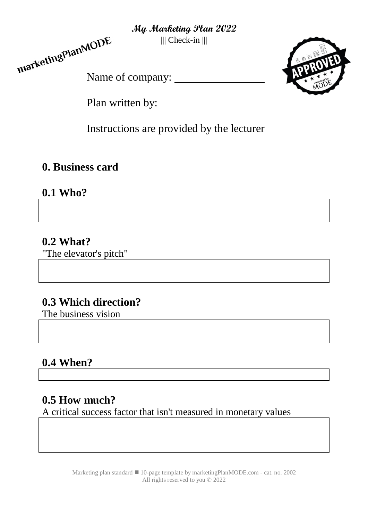||| Check-in |||





Plan written by:

Instructions are provided by the lecturer

## **0. Business card**

# **0.1 Who?**

## **0.2 What?**

"The elevator's pitch"

# **0.3 Which direction?**

The business vision

# **0.4 When?**

# **0.5 How much?**

A critical success factor that isn't measured in monetary values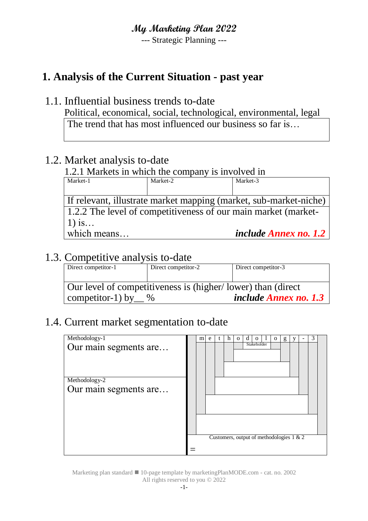--- Strategic Planning ---

## **1. Analysis of the Current Situation - past year**

#### 1.1. Influential business trends to-date

Political, economical, social, technological, environmental, legal The trend that has most influenced our business so far is...

## 1.2. Market analysis to-date

## 1.2.1 Markets in which the company is involved in

| Market-1                                                          | Market-2 | Market-3                |  |  |  |  |  |
|-------------------------------------------------------------------|----------|-------------------------|--|--|--|--|--|
|                                                                   |          |                         |  |  |  |  |  |
| If relevant, illustrate market mapping (market, sub-market-niche) |          |                         |  |  |  |  |  |
| 1.2.2 The level of competitiveness of our main market (market-    |          |                         |  |  |  |  |  |
| $1)$ is                                                           |          |                         |  |  |  |  |  |
| which means                                                       |          | include Annex no. $1.2$ |  |  |  |  |  |

## 1.3. Competitive analysis to-date

| Direct competitor-1                                                                                             | Direct competitor-2 | Direct competitor-3 |  |  |  |
|-----------------------------------------------------------------------------------------------------------------|---------------------|---------------------|--|--|--|
| Our level of competitiveness is (higher/lower) than (direct<br><i>include Annex no. 1.3</i><br>competitor-1) by |                     |                     |  |  |  |

## 1.4. Current market segmentation to-date

| Methodology-1         | m | e | t | h | $\mathbf 0$ | đ |                                          | $\mathbf{O}$ | g |  | 3 |  |
|-----------------------|---|---|---|---|-------------|---|------------------------------------------|--------------|---|--|---|--|
| Our main segments are |   |   |   |   |             |   | Stakeholder                              |              |   |  |   |  |
| Methodology-2         |   |   |   |   |             |   |                                          |              |   |  |   |  |
| Our main segments are |   |   |   |   |             |   |                                          |              |   |  |   |  |
|                       |   |   |   |   |             |   |                                          |              |   |  |   |  |
|                       |   |   |   |   |             |   | Customers, output of methodologies 1 & 2 |              |   |  |   |  |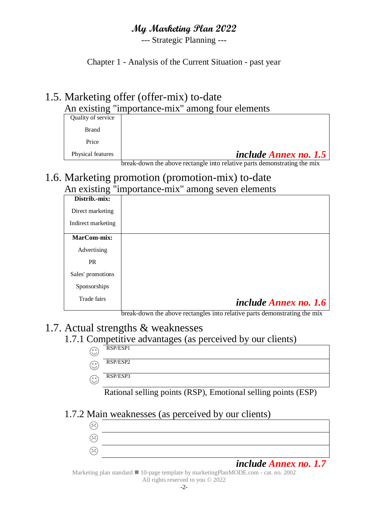--- Strategic Planning ---

Chapter 1 - Analysis of the Current Situation - past year

#### 1.5. Marketing offer (offer-mix) to-date An existing "importance-mix" among four elements

| Quality of service |                              |
|--------------------|------------------------------|
| Brand              |                              |
| Price              |                              |
| Physical features  | <i>include Annex no.</i> 1.5 |

break-down the above rectangle into relative parts demonstrating the mix

#### 1.6. Marketing promotion (promotion-mix) to-date An existing "importance-mix" among seven elements

| $\mathbf{m}$ $\mathbf{v}$ and $\mathbf{v}$ | $\frac{1}{2}$                                                                                                                                                                                                        |
|--------------------------------------------|----------------------------------------------------------------------------------------------------------------------------------------------------------------------------------------------------------------------|
| Distrib.-mix:                              |                                                                                                                                                                                                                      |
| Direct marketing                           |                                                                                                                                                                                                                      |
| Indirect marketing                         |                                                                                                                                                                                                                      |
| MarCom-mix:                                |                                                                                                                                                                                                                      |
| Advertising                                |                                                                                                                                                                                                                      |
| PR                                         |                                                                                                                                                                                                                      |
| Sales' promotions                          |                                                                                                                                                                                                                      |
| Sponsorships                               |                                                                                                                                                                                                                      |
| Trade fairs                                | <i>include Annex no. 1.6</i>                                                                                                                                                                                         |
|                                            | $\bullet$ . The set of $\bullet$<br>1.11<br>$\bullet$<br>$\mathbf{1}$<br>$\sim$ 1 $\sim$<br>and the second second and the second<br>$\mathbf{1}$<br>$1 \quad 1$<br>$\blacksquare$<br>$\cdot$ 1<br>$\sim$ 1<br>$\sim$ |

break-down the above rectangles into relative parts demonstrating the mix

#### 1.7. Actual strengths & weaknesses

#### 1.7.1 Competitive advantages (as perceived by our clients)

- $\odot$ RSP/ESP1
- $\odot$ RSP/ESP2
- $\odot$ RSP/ESP3

Rational selling points (RSP), Emotional selling points (ESP)

#### 1.7.2 Main weaknesses (as perceived by our clients)



*include Annex no. 1.7*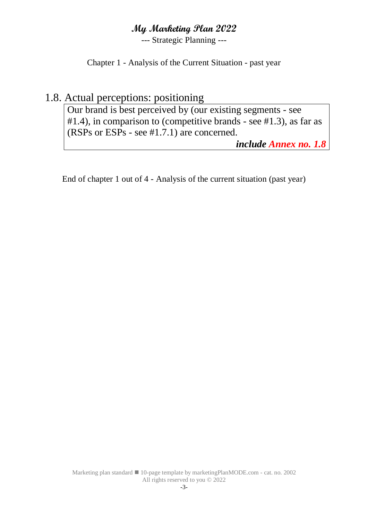--- Strategic Planning ---

Chapter 1 - Analysis of the Current Situation - past year

## 1.8. Actual perceptions: positioning

Our brand is best perceived by (our existing segments - see #1.4), in comparison to (competitive brands - see #1.3), as far as (RSPs or ESPs - see #1.7.1) are concerned.

*include Annex no. 1.8*

End of chapter 1 out of 4 - Analysis of the current situation (past year)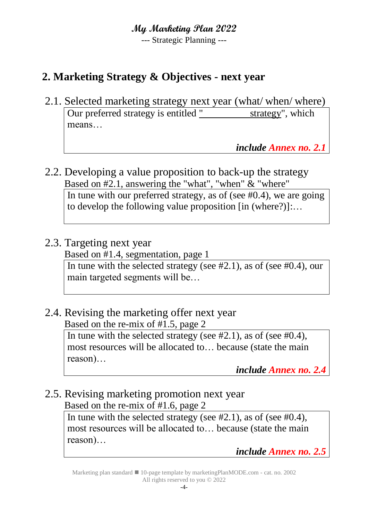--- Strategic Planning ---

## **2. Marketing Strategy & Objectives - next year**

2.1. Selected marketing strategy next year (what/ when/ where) Our preferred strategy is entitled " strategy", which means…

*include Annex no. 2.1*

- 2.2. Developing a value proposition to back-up the strategy Based on #2.1, answering the "what", "when" & "where" In tune with our preferred strategy, as of (see #0.4), we are going to develop the following value proposition [in (where?)]:…
- 2.3. Targeting next year Based on #1.4, segmentation, page 1 In tune with the selected strategy (see #2.1), as of (see #0.4), our main targeted segments will be…
- 2.4. Revising the marketing offer next year Based on the re-mix of #1.5, page 2

In tune with the selected strategy (see #2.1), as of (see #0.4), most resources will be allocated to… because (state the main reason)…

*include Annex no. 2.4*

2.5. Revising marketing promotion next year Based on the re-mix of #1.6, page 2

In tune with the selected strategy (see #2.1), as of (see #0.4), most resources will be allocated to… because (state the main reason)…

*include Annex no. 2.5*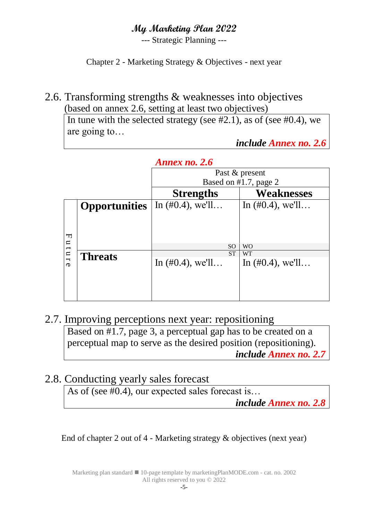--- Strategic Planning ---

Chapter 2 - Marketing Strategy & Objectives - next year

#### 2.6. Transforming strengths & weaknesses into objectives (based on annex 2.6, setting at least two objectives)

In tune with the selected strategy (see  $#2.1$ ), as of (see  $#0.4$ ), we are going to…

*include Annex no. 2.6*

|                               |                      | Annex no. 2.6               |                       |  |  |  |  |  |
|-------------------------------|----------------------|-----------------------------|-----------------------|--|--|--|--|--|
|                               |                      | Past & present              |                       |  |  |  |  |  |
|                               |                      |                             | Based on #1.7, page 2 |  |  |  |  |  |
|                               |                      | <b>Strengths</b>            | <b>Weaknesses</b>     |  |  |  |  |  |
|                               | <b>Opportunities</b> | In $(\text{\#}0.4)$ , we'll | In $(\#0.4)$ , we'll  |  |  |  |  |  |
|                               |                      |                             |                       |  |  |  |  |  |
|                               |                      |                             |                       |  |  |  |  |  |
| ᆔ                             |                      |                             |                       |  |  |  |  |  |
| $\mathbf{u}$<br>$\rightarrow$ |                      | <sub>SO</sub>               | <b>WO</b>             |  |  |  |  |  |
| $\overline{u}$                | <b>Threats</b>       | <b>ST</b>                   | <b>WT</b>             |  |  |  |  |  |
| $\sigma$                      |                      | In $(\#0.4)$ , we'll        | In $(\#0.4)$ , we'll  |  |  |  |  |  |
|                               |                      |                             |                       |  |  |  |  |  |
|                               |                      |                             |                       |  |  |  |  |  |
|                               |                      |                             |                       |  |  |  |  |  |

#### 2.7. Improving perceptions next year: repositioning Based on #1.7, page 3, a perceptual gap has to be created on a perceptual map to serve as the desired position (repositioning). *include Annex no. 2.7*

## 2.8. Conducting yearly sales forecast

As of (see #0.4), our expected sales forecast is... *include Annex no. 2.8*

End of chapter 2 out of 4 - Marketing strategy & objectives (next year)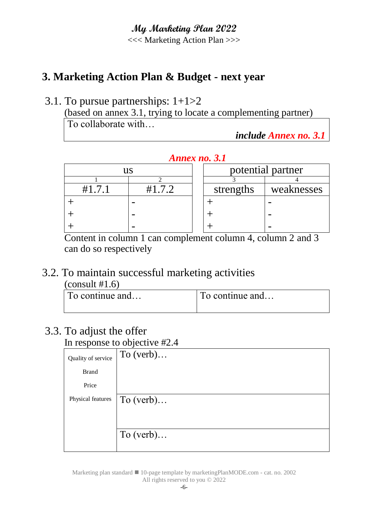<<< Marketing Action Plan >>>

# **3. Marketing Action Plan & Budget - next year**

## 3.1. To pursue partnerships: 1+1>2

(based on annex 3.1, trying to locate a complementing partner) To collaborate with…

*include Annex no. 3.1*

#### *Annex no. 3.1*

|      | us |           | potential partner |
|------|----|-----------|-------------------|
|      |    |           |                   |
| #171 |    | strengths | weaknesses        |
|      |    |           |                   |
|      |    |           |                   |
|      |    |           |                   |

Content in column 1 can complement column 4, column 2 and 3 can do so respectively

#### 3.2. To maintain successful marketing activities  $\frac{1}{41}$   $\frac{1}{6}$

| $\left($ COIISUIL #1.0)  |                 |
|--------------------------|-----------------|
| $\Gamma$ To continue and | To continue and |
|                          |                 |

# 3.3. To adjust the offer

In response to objective #2.4

|                    | ັ           |
|--------------------|-------------|
| Quality of service | To $(verb)$ |
| <b>Brand</b>       |             |
| Price              |             |
| Physical features  | To $(verb)$ |
|                    |             |
|                    |             |
|                    | To $(verb)$ |
|                    |             |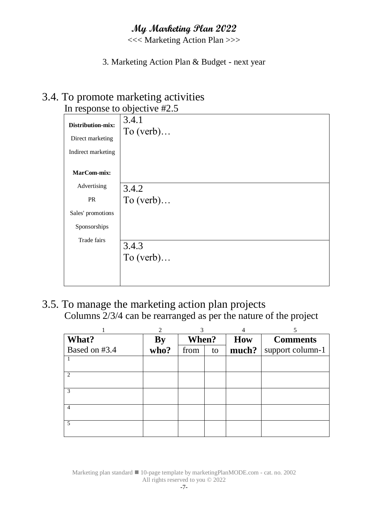<<< Marketing Action Plan >>>

#### 3. Marketing Action Plan & Budget - next year

#### 3.4. To promote marketing activities In response to objective  $\sharp$  5

|                    | III ICSPUISC IO ODJCCU VC $\pi$ 2.J |
|--------------------|-------------------------------------|
| Distribution-mix:  | 3.4.1                               |
| Direct marketing   | To $(verb)$                         |
| Indirect marketing |                                     |
| MarCom-mix:        |                                     |
| Advertising        | 3.4.2                               |
| PR                 | To $(verb)$                         |
| Sales' promotions  |                                     |
| Sponsorships       |                                     |
| Trade fairs        | 3.4.3<br>To $(verb)$                |

3.5. To manage the marketing action plan projects Columns 2/3/4 can be rearranged as per the nature of the project

|                | $\overline{2}$ | 3          |  |       |                  |     |                 |  |  |  |  |  |  |  |  |  |  |  |  |  |  |  |  |  |  |  |  |  |  |  |  |  |  |  |  |  |  |  |  |  |  |  |  |  |  |  |  |  |  |  |  |  |  |  |  |  |  |  |  | 4 |  |
|----------------|----------------|------------|--|-------|------------------|-----|-----------------|--|--|--|--|--|--|--|--|--|--|--|--|--|--|--|--|--|--|--|--|--|--|--|--|--|--|--|--|--|--|--|--|--|--|--|--|--|--|--|--|--|--|--|--|--|--|--|--|--|--|--|--|---|--|
| What?          | By             | When?      |  |       |                  | How | <b>Comments</b> |  |  |  |  |  |  |  |  |  |  |  |  |  |  |  |  |  |  |  |  |  |  |  |  |  |  |  |  |  |  |  |  |  |  |  |  |  |  |  |  |  |  |  |  |  |  |  |  |  |  |  |  |   |  |
| Based on #3.4  | who?           | from<br>to |  | much? | support column-1 |     |                 |  |  |  |  |  |  |  |  |  |  |  |  |  |  |  |  |  |  |  |  |  |  |  |  |  |  |  |  |  |  |  |  |  |  |  |  |  |  |  |  |  |  |  |  |  |  |  |  |  |  |  |  |   |  |
|                |                |            |  |       |                  |     |                 |  |  |  |  |  |  |  |  |  |  |  |  |  |  |  |  |  |  |  |  |  |  |  |  |  |  |  |  |  |  |  |  |  |  |  |  |  |  |  |  |  |  |  |  |  |  |  |  |  |  |  |  |   |  |
|                |                |            |  |       |                  |     |                 |  |  |  |  |  |  |  |  |  |  |  |  |  |  |  |  |  |  |  |  |  |  |  |  |  |  |  |  |  |  |  |  |  |  |  |  |  |  |  |  |  |  |  |  |  |  |  |  |  |  |  |  |   |  |
| $\overline{c}$ |                |            |  |       |                  |     |                 |  |  |  |  |  |  |  |  |  |  |  |  |  |  |  |  |  |  |  |  |  |  |  |  |  |  |  |  |  |  |  |  |  |  |  |  |  |  |  |  |  |  |  |  |  |  |  |  |  |  |  |  |   |  |
|                |                |            |  |       |                  |     |                 |  |  |  |  |  |  |  |  |  |  |  |  |  |  |  |  |  |  |  |  |  |  |  |  |  |  |  |  |  |  |  |  |  |  |  |  |  |  |  |  |  |  |  |  |  |  |  |  |  |  |  |  |   |  |
| 3              |                |            |  |       |                  |     |                 |  |  |  |  |  |  |  |  |  |  |  |  |  |  |  |  |  |  |  |  |  |  |  |  |  |  |  |  |  |  |  |  |  |  |  |  |  |  |  |  |  |  |  |  |  |  |  |  |  |  |  |  |   |  |
|                |                |            |  |       |                  |     |                 |  |  |  |  |  |  |  |  |  |  |  |  |  |  |  |  |  |  |  |  |  |  |  |  |  |  |  |  |  |  |  |  |  |  |  |  |  |  |  |  |  |  |  |  |  |  |  |  |  |  |  |  |   |  |
| $\overline{4}$ |                |            |  |       |                  |     |                 |  |  |  |  |  |  |  |  |  |  |  |  |  |  |  |  |  |  |  |  |  |  |  |  |  |  |  |  |  |  |  |  |  |  |  |  |  |  |  |  |  |  |  |  |  |  |  |  |  |  |  |  |   |  |
|                |                |            |  |       |                  |     |                 |  |  |  |  |  |  |  |  |  |  |  |  |  |  |  |  |  |  |  |  |  |  |  |  |  |  |  |  |  |  |  |  |  |  |  |  |  |  |  |  |  |  |  |  |  |  |  |  |  |  |  |  |   |  |
| 5              |                |            |  |       |                  |     |                 |  |  |  |  |  |  |  |  |  |  |  |  |  |  |  |  |  |  |  |  |  |  |  |  |  |  |  |  |  |  |  |  |  |  |  |  |  |  |  |  |  |  |  |  |  |  |  |  |  |  |  |  |   |  |
|                |                |            |  |       |                  |     |                 |  |  |  |  |  |  |  |  |  |  |  |  |  |  |  |  |  |  |  |  |  |  |  |  |  |  |  |  |  |  |  |  |  |  |  |  |  |  |  |  |  |  |  |  |  |  |  |  |  |  |  |  |   |  |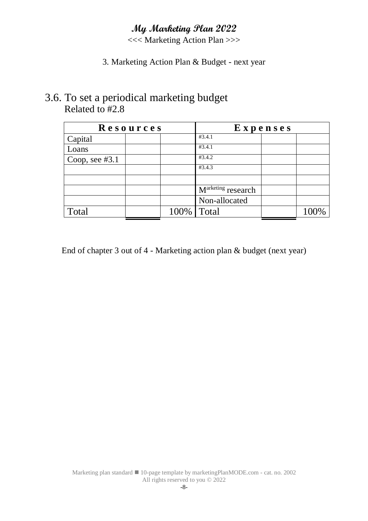<<< Marketing Action Plan >>>

#### 3. Marketing Action Plan & Budget - next year

#### 3.6. To set a periodical marketing budget Related to #2.8

| Resources        |  | Expenses |                                |  |  |  |
|------------------|--|----------|--------------------------------|--|--|--|
| Capital          |  |          | #3.4.1                         |  |  |  |
| Loans            |  |          | #3.4.1                         |  |  |  |
| Coop, see $#3.1$ |  |          | #3.4.2                         |  |  |  |
|                  |  |          | #3.4.3                         |  |  |  |
|                  |  |          |                                |  |  |  |
|                  |  |          | M <sup>arketing</sup> research |  |  |  |
|                  |  |          | Non-allocated                  |  |  |  |
| Total            |  | 100%     | Total                          |  |  |  |

End of chapter 3 out of 4 - Marketing action plan & budget (next year)